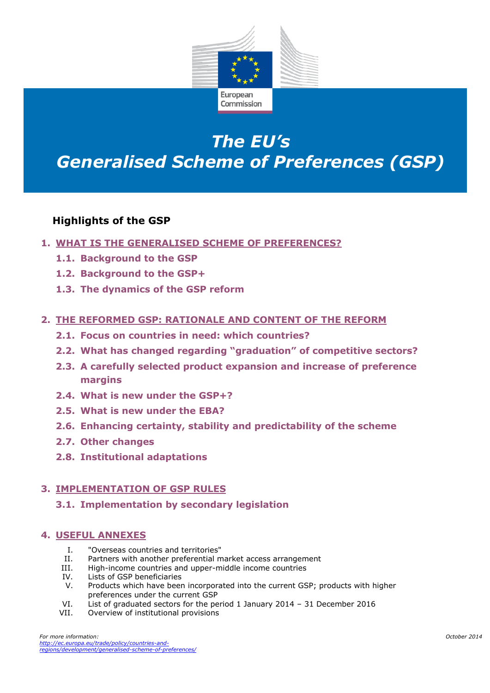

# *The EU's Generalised Scheme of Preferences (GSP)*

# **Highlights of the GSP**

- **1. WHAT IS THE GENERALISED SCHEME OF PREFERENCES?**
	- **1.1. Background to the GSP**
	- **1.2. Background to the GSP+**
	- **1.3. The dynamics of the GSP reform**

#### **2. THE REFORMED GSP: RATIONALE AND CONTENT OF THE REFORM**

- **2.1. Focus on countries in need: which countries?**
- **2.2. What has changed regarding "graduation" of competitive sectors?**
- **2.3. A carefully selected product expansion and increase of preference margins**
- **2.4. What is new under the GSP+?**
- **2.5. What is new under the EBA?**
- **2.6. Enhancing certainty, stability and predictability of the scheme**
- **2.7. Other changes**
- **2.8. Institutional adaptations**

#### **3. IMPLEMENTATION OF GSP RULES**

**3.1. Implementation by secondary legislation**

#### **4. USEFUL ANNEXES**

- I. "Overseas countries and territories"
- II. Partners with another preferential market access arrangement
- III. High-income countries and upper-middle income countries
- IV. Lists of GSP beneficiaries
- V. Products which have been incorporated into the current GSP; products with higher preferences under the current GSP
- VI. List of graduated sectors for the period 1 January 2014 31 December 2016
- VII. Overview of institutional provisions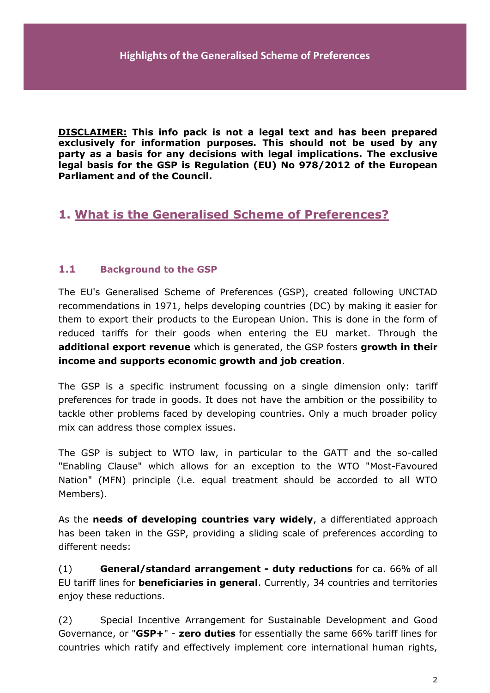**DISCLAIMER: This info pack is not a legal text and has been prepared exclusively for information purposes. This should not be used by any party as a basis for any decisions with legal implications. The exclusive legal basis for the GSP is Regulation (EU) No 978/2012 of the European Parliament and of the Council.** 

# **1. What is the Generalised Scheme of Preferences?**

#### **1.1 Background to the GSP**

The EU's Generalised Scheme of Preferences (GSP), created following UNCTAD recommendations in 1971, helps developing countries (DC) by making it easier for them to export their products to the European Union. This is done in the form of reduced tariffs for their goods when entering the EU market. Through the **additional export revenue** which is generated, the GSP fosters **growth in their income and supports economic growth and job creation**.

The GSP is a specific instrument focussing on a single dimension only: tariff preferences for trade in goods. It does not have the ambition or the possibility to tackle other problems faced by developing countries. Only a much broader policy mix can address those complex issues.

The GSP is subject to WTO law, in particular to the GATT and the so-called "Enabling Clause" which allows for an exception to the WTO "Most-Favoured Nation" (MFN) principle (i.e. equal treatment should be accorded to all WTO Members).

As the **needs of developing countries vary widely**, a differentiated approach has been taken in the GSP, providing a sliding scale of preferences according to different needs:

(1) **General/standard arrangement - duty reductions** for ca. 66% of all EU tariff lines for **beneficiaries in general**. Currently, 34 countries and territories enjoy these reductions.

(2) Special Incentive Arrangement for Sustainable Development and Good Governance, or "**GSP+**" - **zero duties** for essentially the same 66% tariff lines for countries which ratify and effectively implement core international human rights,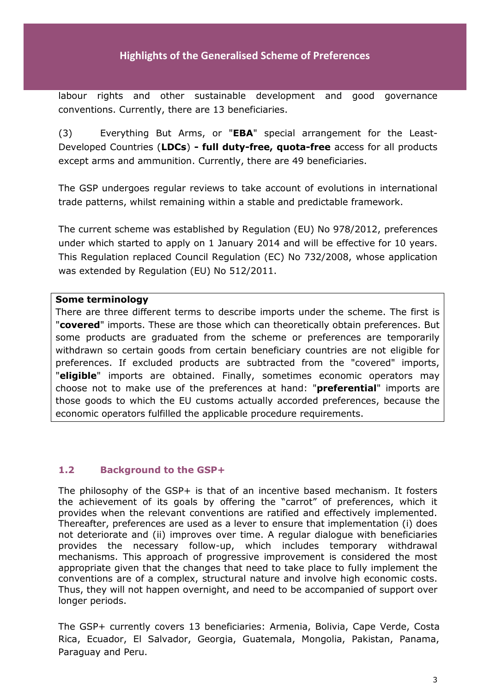### **Highlights of the Generalised Scheme of Preferences**

labour rights and other sustainable development and good governance conventions. Currently, there are 13 beneficiaries.

(3) Everything But Arms, or "**EBA**" special arrangement for the Least-Developed Countries (**LDCs**) **- full duty-free, quota-free** access for all products except arms and ammunition. Currently, there are 49 beneficiaries.

The GSP undergoes regular reviews to take account of evolutions in international trade patterns, whilst remaining within a stable and predictable framework.

The current scheme was established by Regulation (EU) No 978/2012, preferences under which started to apply on 1 January 2014 and will be effective for 10 years. This Regulation replaced Council Regulation (EC) No 732/2008, whose application was extended by Regulation (EU) No 512/2011.

#### **Some terminology**

There are three different terms to describe imports under the scheme. The first is "**covered**" imports. These are those which can theoretically obtain preferences. But some products are graduated from the scheme or preferences are temporarily withdrawn so certain goods from certain beneficiary countries are not eligible for preferences. If excluded products are subtracted from the "covered" imports, "**eligible**" imports are obtained. Finally, sometimes economic operators may choose not to make use of the preferences at hand: "**preferential**" imports are those goods to which the EU customs actually accorded preferences, because the economic operators fulfilled the applicable procedure requirements.

#### **1.2 Background to the GSP+**

The philosophy of the GSP+ is that of an incentive based mechanism. It fosters the achievement of its goals by offering the "carrot" of preferences, which it provides when the relevant conventions are ratified and effectively implemented. Thereafter, preferences are used as a lever to ensure that implementation (i) does not deteriorate and (ii) improves over time. A regular dialogue with beneficiaries provides the necessary follow-up, which includes temporary withdrawal mechanisms. This approach of progressive improvement is considered the most appropriate given that the changes that need to take place to fully implement the conventions are of a complex, structural nature and involve high economic costs. Thus, they will not happen overnight, and need to be accompanied of support over longer periods.

The GSP+ currently covers 13 beneficiaries: Armenia, Bolivia, Cape Verde, Costa Rica, Ecuador, El Salvador, Georgia, Guatemala, Mongolia, Pakistan, Panama, Paraguay and Peru.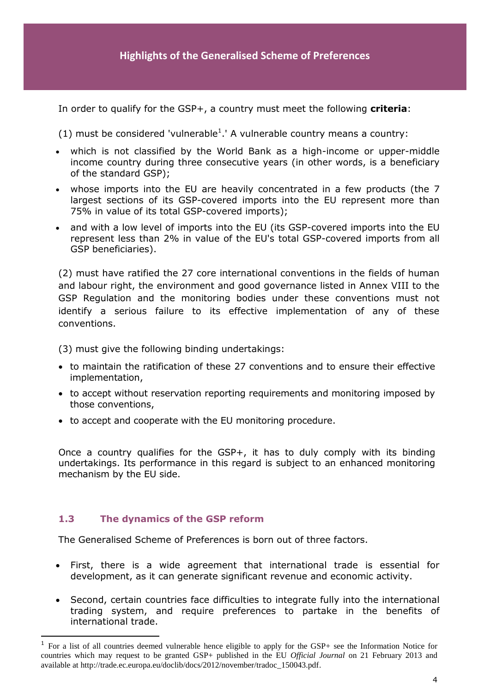In order to qualify for the GSP+, a country must meet the following **criteria**:

(1) must be considered 'vulnerable<sup>1</sup>.' A vulnerable country means a country:

- which is not classified by the World Bank as a high-income or upper-middle income country during three consecutive years (in other words, is a beneficiary of the standard GSP);
- whose imports into the EU are heavily concentrated in a few products (the 7 largest sections of its GSP-covered imports into the EU represent more than 75% in value of its total GSP-covered imports);
- and with a low level of imports into the EU (its GSP-covered imports into the EU represent less than 2% in value of the EU's total GSP-covered imports from all GSP beneficiaries).

(2) must have ratified the 27 core international conventions in the fields of human and labour right, the environment and good governance listed in Annex VIII to the GSP Regulation and the monitoring bodies under these conventions must not identify a serious failure to its effective implementation of any of these conventions.

(3) must give the following binding undertakings:

- to maintain the ratification of these 27 conventions and to ensure their effective implementation,
- to accept without reservation reporting requirements and monitoring imposed by those conventions,
- to accept and cooperate with the EU monitoring procedure.

Once a country qualifies for the GSP+, it has to duly comply with its binding undertakings. Its performance in this regard is subject to an enhanced monitoring mechanism by the EU side.

#### **1.3 The dynamics of the GSP reform**

 $\overline{a}$ 

The Generalised Scheme of Preferences is born out of three factors.

- First, there is a wide agreement that international trade is essential for development, as it can generate significant revenue and economic activity.
- Second, certain countries face difficulties to integrate fully into the international trading system, and require preferences to partake in the benefits of international trade.

<sup>1</sup> For a list of all countries deemed vulnerable hence eligible to apply for the GSP+ see the Information Notice for countries which may request to be granted GSP+ published in the EU *Official Journal* on 21 February 2013 and available at http://trade.ec.europa.eu/doclib/docs/2012/november/tradoc\_150043.pdf.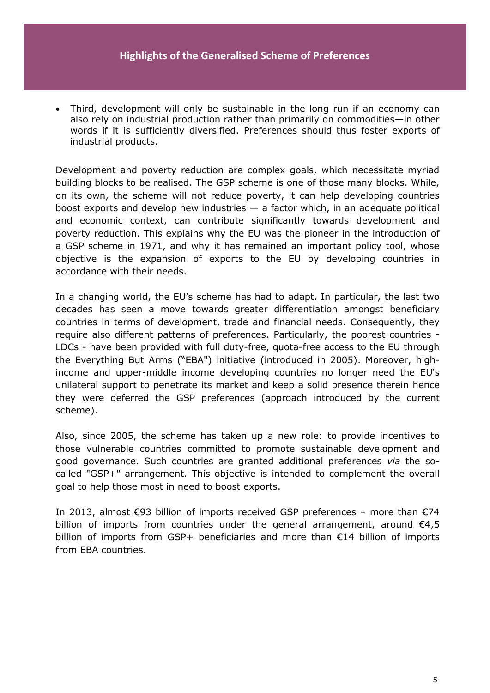#### **Highlights of the Generalised Scheme of Preferences**

 Third, development will only be sustainable in the long run if an economy can also rely on industrial production rather than primarily on commodities—in other words if it is sufficiently diversified. Preferences should thus foster exports of industrial products.

Development and poverty reduction are complex goals, which necessitate myriad building blocks to be realised. The GSP scheme is one of those many blocks. While, on its own, the scheme will not reduce poverty, it can help developing countries boost exports and develop new industries  $-$  a factor which, in an adequate political and economic context, can contribute significantly towards development and poverty reduction. This explains why the EU was the pioneer in the introduction of a GSP scheme in 1971, and why it has remained an important policy tool, whose objective is the expansion of exports to the EU by developing countries in accordance with their needs.

In a changing world, the EU's scheme has had to adapt. In particular, the last two decades has seen a move towards greater differentiation amongst beneficiary countries in terms of development, trade and financial needs. Consequently, they require also different patterns of preferences. Particularly, the poorest countries - LDCs - have been provided with full duty-free, quota-free access to the EU through the Everything But Arms ("EBA") initiative (introduced in 2005). Moreover, highincome and upper-middle income developing countries no longer need the EU's unilateral support to penetrate its market and keep a solid presence therein hence they were deferred the GSP preferences (approach introduced by the current scheme).

Also, since 2005, the scheme has taken up a new role: to provide incentives to those vulnerable countries committed to promote sustainable development and good governance. Such countries are granted additional preferences *via* the socalled "GSP+" arrangement. This objective is intended to complement the overall goal to help those most in need to boost exports.

In 2013, almost €93 billion of imports received GSP preferences – more than €74 billion of imports from countries under the general arrangement, around  $\epsilon$ 4,5 billion of imports from GSP+ beneficiaries and more than €14 billion of imports from EBA countries.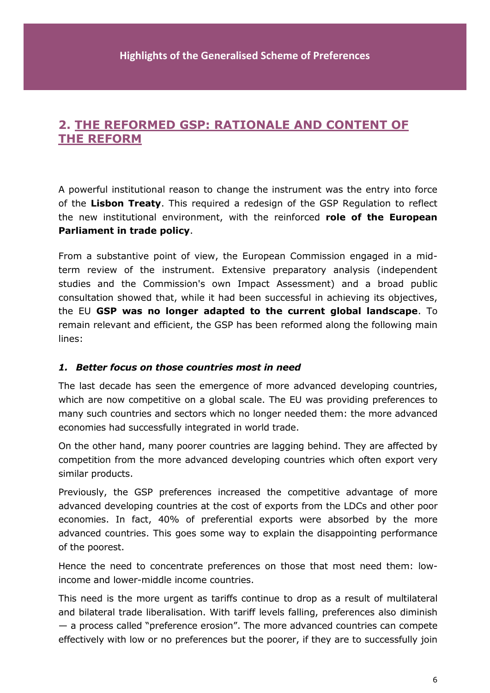# **2. THE REFORMED GSP: RATIONALE AND CONTENT OF THE REFORM**

A powerful institutional reason to change the instrument was the entry into force of the **Lisbon Treaty**. This required a redesign of the GSP Regulation to reflect the new institutional environment, with the reinforced **role of the European Parliament in trade policy**.

From a substantive point of view, the European Commission engaged in a midterm review of the instrument. Extensive preparatory analysis (independent studies and the Commission's own Impact Assessment) and a broad public consultation showed that, while it had been successful in achieving its objectives, the EU **GSP was no longer adapted to the current global landscape**. To remain relevant and efficient, the GSP has been reformed along the following main lines:

#### *1. Better focus on those countries most in need*

The last decade has seen the emergence of more advanced developing countries, which are now competitive on a global scale. The EU was providing preferences to many such countries and sectors which no longer needed them: the more advanced economies had successfully integrated in world trade.

On the other hand, many poorer countries are lagging behind. They are affected by competition from the more advanced developing countries which often export very similar products.

Previously, the GSP preferences increased the competitive advantage of more advanced developing countries at the cost of exports from the LDCs and other poor economies. In fact, 40% of preferential exports were absorbed by the more advanced countries. This goes some way to explain the disappointing performance of the poorest.

Hence the need to concentrate preferences on those that most need them: lowincome and lower-middle income countries.

This need is the more urgent as tariffs continue to drop as a result of multilateral and bilateral trade liberalisation. With tariff levels falling, preferences also diminish — a process called "preference erosion". The more advanced countries can compete effectively with low or no preferences but the poorer, if they are to successfully join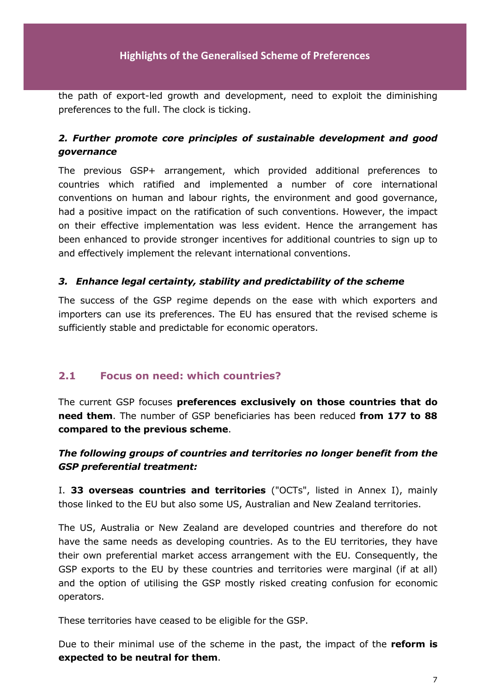the path of export-led growth and development, need to exploit the diminishing preferences to the full. The clock is ticking.

# *2. Further promote core principles of sustainable development and good governance*

The previous GSP+ arrangement, which provided additional preferences to countries which ratified and implemented a number of core international conventions on human and labour rights, the environment and good governance, had a positive impact on the ratification of such conventions. However, the impact on their effective implementation was less evident. Hence the arrangement has been enhanced to provide stronger incentives for additional countries to sign up to and effectively implement the relevant international conventions.

#### *3. Enhance legal certainty, stability and predictability of the scheme*

The success of the GSP regime depends on the ease with which exporters and importers can use its preferences. The EU has ensured that the revised scheme is sufficiently stable and predictable for economic operators.

### **2.1 Focus on need: which countries?**

The current GSP focuses **preferences exclusively on those countries that do need them**. The number of GSP beneficiaries has been reduced **from 177 to 88 compared to the previous scheme**.

# *The following groups of countries and territories no longer benefit from the GSP preferential treatment:*

I. **33 overseas countries and territories** ("OCTs", listed in Annex I), mainly those linked to the EU but also some US, Australian and New Zealand territories.

The US, Australia or New Zealand are developed countries and therefore do not have the same needs as developing countries. As to the EU territories, they have their own preferential market access arrangement with the EU. Consequently, the GSP exports to the EU by these countries and territories were marginal (if at all) and the option of utilising the GSP mostly risked creating confusion for economic operators.

These territories have ceased to be eligible for the GSP.

Due to their minimal use of the scheme in the past, the impact of the **reform is expected to be neutral for them**.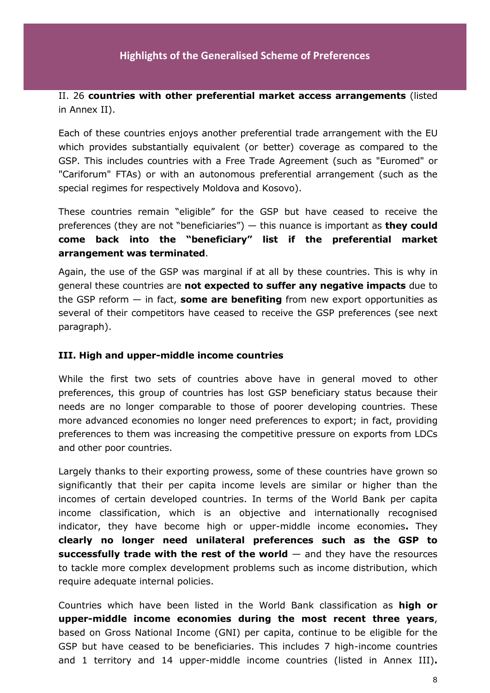#### II. 26 **countries with other preferential market access arrangements** (listed in Annex II).

Each of these countries enjoys another preferential trade arrangement with the EU which provides substantially equivalent (or better) coverage as compared to the GSP. This includes countries with a Free Trade Agreement (such as "Euromed" or "Cariforum" FTAs) or with an autonomous preferential arrangement (such as the special regimes for respectively Moldova and Kosovo).

These countries remain "eligible" for the GSP but have ceased to receive the preferences (they are not "beneficiaries") — this nuance is important as **they could come back into the "beneficiary" list if the preferential market arrangement was terminated**.

Again, the use of the GSP was marginal if at all by these countries. This is why in general these countries are **not expected to suffer any negative impacts** due to the GSP reform — in fact, **some are benefiting** from new export opportunities as several of their competitors have ceased to receive the GSP preferences (see next paragraph).

#### **III. High and upper-middle income countries**

While the first two sets of countries above have in general moved to other preferences, this group of countries has lost GSP beneficiary status because their needs are no longer comparable to those of poorer developing countries. These more advanced economies no longer need preferences to export; in fact, providing preferences to them was increasing the competitive pressure on exports from LDCs and other poor countries.

Largely thanks to their exporting prowess, some of these countries have grown so significantly that their per capita income levels are similar or higher than the incomes of certain developed countries. In terms of the World Bank per capita income classification, which is an objective and internationally recognised indicator, they have become high or upper-middle income economies**.** They **clearly no longer need unilateral preferences such as the GSP to successfully trade with the rest of the world** — and they have the resources to tackle more complex development problems such as income distribution, which require adequate internal policies.

Countries which have been listed in the World Bank classification as **high or upper-middle income economies during the most recent three years**, based on Gross National Income (GNI) per capita, continue to be eligible for the GSP but have ceased to be beneficiaries. This includes 7 high-income countries and 1 territory and 14 upper-middle income countries (listed in Annex III)**.**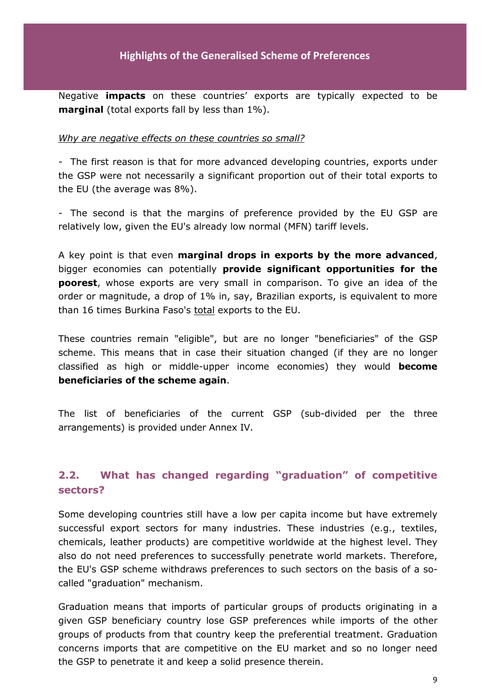Negative **impacts** on these countries' exports are typically expected to be **marginal** (total exports fall by less than 1%).

#### *Why are negative effects on these countries so small?*

- The first reason is that for more advanced developing countries, exports under the GSP were not necessarily a significant proportion out of their total exports to the EU (the average was 8%).

- The second is that the margins of preference provided by the EU GSP are relatively low, given the EU's already low normal (MFN) tariff levels.

A key point is that even **marginal drops in exports by the more advanced**, bigger economies can potentially **provide significant opportunities for the poorest**, whose exports are very small in comparison. To give an idea of the order or magnitude, a drop of 1% in, say, Brazilian exports, is equivalent to more than 16 times Burkina Faso's total exports to the EU.

These countries remain "eligible", but are no longer "beneficiaries" of the GSP scheme. This means that in case their situation changed (if they are no longer classified as high or middle-upper income economies) they would **become beneficiaries of the scheme again**.

The list of beneficiaries of the current GSP (sub-divided per the three arrangements) is provided under Annex IV.

# **2.2. What has changed regarding "graduation" of competitive sectors?**

Some developing countries still have a low per capita income but have extremely successful export sectors for many industries. These industries (e.g., textiles, chemicals, leather products) are competitive worldwide at the highest level. They also do not need preferences to successfully penetrate world markets. Therefore, the EU's GSP scheme withdraws preferences to such sectors on the basis of a socalled "graduation" mechanism.

Graduation means that imports of particular groups of products originating in a given GSP beneficiary country lose GSP preferences while imports of the other groups of products from that country keep the preferential treatment. Graduation concerns imports that are competitive on the EU market and so no longer need the GSP to penetrate it and keep a solid presence therein.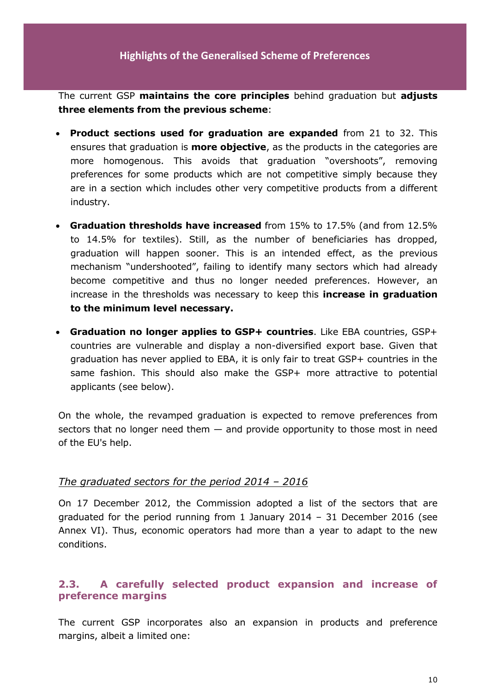The current GSP **maintains the core principles** behind graduation but **adjusts three elements from the previous scheme**:

- **Product sections used for graduation are expanded** from 21 to 32. This ensures that graduation is **more objective**, as the products in the categories are more homogenous. This avoids that graduation "overshoots", removing preferences for some products which are not competitive simply because they are in a section which includes other very competitive products from a different industry.
- **Graduation thresholds have increased** from 15% to 17.5% (and from 12.5% to 14.5% for textiles). Still, as the number of beneficiaries has dropped, graduation will happen sooner. This is an intended effect, as the previous mechanism "undershooted", failing to identify many sectors which had already become competitive and thus no longer needed preferences. However, an increase in the thresholds was necessary to keep this **increase in graduation to the minimum level necessary.**
- **Graduation no longer applies to GSP+ countries**. Like EBA countries, GSP+ countries are vulnerable and display a non-diversified export base. Given that graduation has never applied to EBA, it is only fair to treat GSP+ countries in the same fashion. This should also make the GSP+ more attractive to potential applicants (see below).

On the whole, the revamped graduation is expected to remove preferences from sectors that no longer need them  $-$  and provide opportunity to those most in need of the EU's help.

### *The graduated sectors for the period 2014 – 2016*

On 17 December 2012, the Commission adopted a list of the sectors that are graduated for the period running from 1 January 2014 – 31 December 2016 (see Annex VI). Thus, economic operators had more than a year to adapt to the new conditions.

# **2.3. A carefully selected product expansion and increase of preference margins**

The current GSP incorporates also an expansion in products and preference margins, albeit a limited one: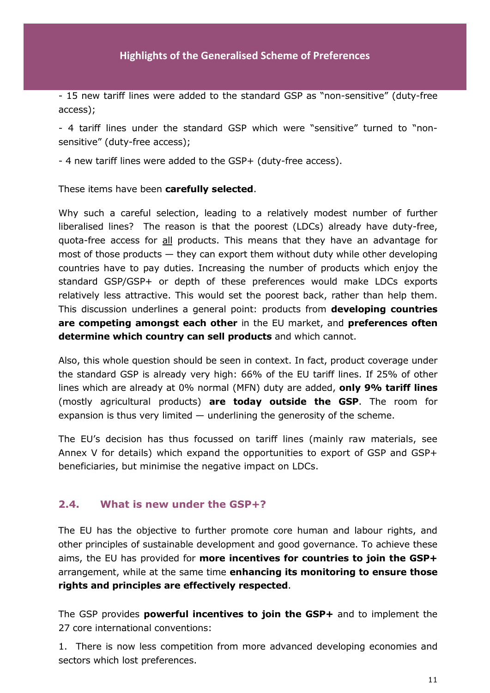- 15 new tariff lines were added to the standard GSP as "non-sensitive" (duty-free access);

- 4 tariff lines under the standard GSP which were "sensitive" turned to "nonsensitive" (duty-free access);

- 4 new tariff lines were added to the GSP+ (duty-free access).

These items have been **carefully selected**.

Why such a careful selection, leading to a relatively modest number of further liberalised lines? The reason is that the poorest (LDCs) already have duty-free, quota-free access for all products. This means that they have an advantage for most of those products — they can export them without duty while other developing countries have to pay duties. Increasing the number of products which enjoy the standard GSP/GSP+ or depth of these preferences would make LDCs exports relatively less attractive. This would set the poorest back, rather than help them. This discussion underlines a general point: products from **developing countries are competing amongst each other** in the EU market, and **preferences often determine which country can sell products** and which cannot.

Also, this whole question should be seen in context. In fact, product coverage under the standard GSP is already very high: 66% of the EU tariff lines. If 25% of other lines which are already at 0% normal (MFN) duty are added, **only 9% tariff lines** (mostly agricultural products) **are today outside the GSP**. The room for expansion is thus very limited  $-$  underlining the generosity of the scheme.

The EU's decision has thus focussed on tariff lines (mainly raw materials, see Annex V for details) which expand the opportunities to export of GSP and GSP+ beneficiaries, but minimise the negative impact on LDCs.

#### **2.4. What is new under the GSP+?**

The EU has the objective to further promote core human and labour rights, and other principles of sustainable development and good governance. To achieve these aims, the EU has provided for **more incentives for countries to join the GSP+** arrangement, while at the same time **enhancing its monitoring to ensure those rights and principles are effectively respected**.

The GSP provides **powerful incentives to join the GSP+** and to implement the 27 core international conventions:

1. There is now less competition from more advanced developing economies and sectors which lost preferences.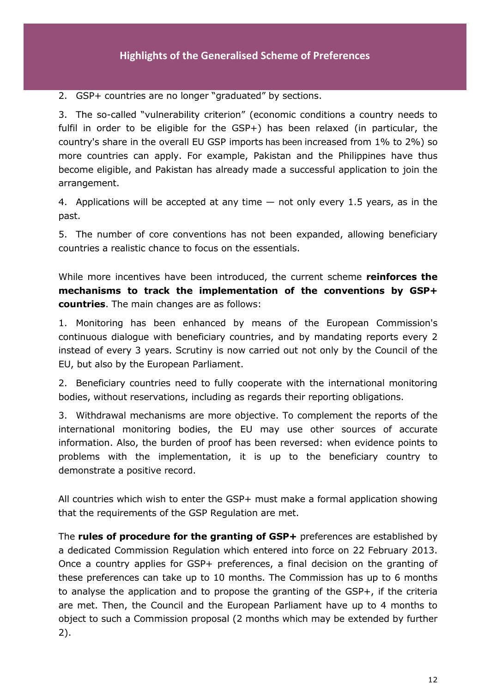2. GSP+ countries are no longer "graduated" by sections.

3. The so-called "vulnerability criterion" (economic conditions a country needs to fulfil in order to be eligible for the GSP+) has been relaxed (in particular, the country's share in the overall EU GSP imports has been increased from 1% to 2%) so more countries can apply. For example, Pakistan and the Philippines have thus become eligible, and Pakistan has already made a successful application to join the arrangement.

4. Applications will be accepted at any time  $-$  not only every 1.5 years, as in the past.

5. The number of core conventions has not been expanded, allowing beneficiary countries a realistic chance to focus on the essentials.

While more incentives have been introduced, the current scheme **reinforces the mechanisms to track the implementation of the conventions by GSP+ countries**. The main changes are as follows:

1. Monitoring has been enhanced by means of the European Commission's continuous dialogue with beneficiary countries, and by mandating reports every 2 instead of every 3 years. Scrutiny is now carried out not only by the Council of the EU, but also by the European Parliament.

2. Beneficiary countries need to fully cooperate with the international monitoring bodies, without reservations, including as regards their reporting obligations.

3. Withdrawal mechanisms are more objective. To complement the reports of the international monitoring bodies, the EU may use other sources of accurate information. Also, the burden of proof has been reversed: when evidence points to problems with the implementation, it is up to the beneficiary country to demonstrate a positive record.

All countries which wish to enter the GSP+ must make a formal application showing that the requirements of the GSP Regulation are met.

The **rules of procedure for the granting of GSP+** preferences are established by a dedicated Commission Regulation which entered into force on 22 February 2013. Once a country applies for GSP+ preferences, a final decision on the granting of these preferences can take up to 10 months. The Commission has up to 6 months to analyse the application and to propose the granting of the GSP+, if the criteria are met. Then, the Council and the European Parliament have up to 4 months to object to such a Commission proposal (2 months which may be extended by further 2).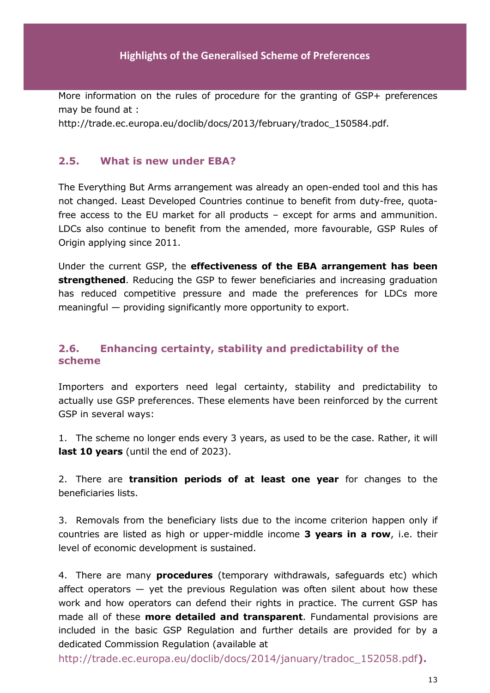More information on the rules of procedure for the granting of GSP+ preferences may be found at :

http://trade.ec.europa.eu/doclib/docs/2013/february/tradoc\_150584.pdf.

### **2.5. What is new under EBA?**

The Everything But Arms arrangement was already an open-ended tool and this has not changed. Least Developed Countries continue to benefit from duty-free, quotafree access to the EU market for all products – except for arms and ammunition. LDCs also continue to benefit from the amended, more favourable, GSP Rules of Origin applying since 2011.

Under the current GSP, the **effectiveness of the EBA arrangement has been strengthened**. Reducing the GSP to fewer beneficiaries and increasing graduation has reduced competitive pressure and made the preferences for LDCs more meaningful — providing significantly more opportunity to export.

# **2.6. Enhancing certainty, stability and predictability of the scheme**

Importers and exporters need legal certainty, stability and predictability to actually use GSP preferences. These elements have been reinforced by the current GSP in several ways:

1. The scheme no longer ends every 3 years, as used to be the case. Rather, it will **last 10 years** (until the end of 2023).

2. There are **transition periods of at least one year** for changes to the beneficiaries lists.

3. Removals from the beneficiary lists due to the income criterion happen only if countries are listed as high or upper-middle income **3 years in a row**, i.e. their level of economic development is sustained.

4. There are many **procedures** (temporary withdrawals, safeguards etc) which affect operators  $-$  yet the previous Regulation was often silent about how these work and how operators can defend their rights in practice. The current GSP has made all of these **more detailed and transparent**. Fundamental provisions are included in the basic GSP Regulation and further details are provided for by a dedicated Commission Regulation (available at

http://trade.ec.europa.eu/doclib/docs/2014/january/tradoc\_152058.pdf**).**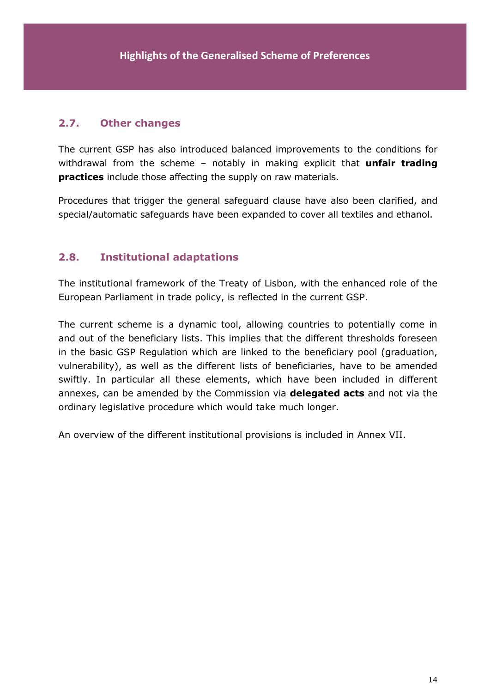# **2.7. Other changes**

The current GSP has also introduced balanced improvements to the conditions for withdrawal from the scheme – notably in making explicit that **unfair trading practices** include those affecting the supply on raw materials.

Procedures that trigger the general safeguard clause have also been clarified, and special/automatic safeguards have been expanded to cover all textiles and ethanol.

# **2.8. Institutional adaptations**

The institutional framework of the Treaty of Lisbon, with the enhanced role of the European Parliament in trade policy, is reflected in the current GSP.

The current scheme is a dynamic tool, allowing countries to potentially come in and out of the beneficiary lists. This implies that the different thresholds foreseen in the basic GSP Regulation which are linked to the beneficiary pool (graduation, vulnerability), as well as the different lists of beneficiaries, have to be amended swiftly. In particular all these elements, which have been included in different annexes, can be amended by the Commission via **delegated acts** and not via the ordinary legislative procedure which would take much longer.

An overview of the different institutional provisions is included in Annex VII.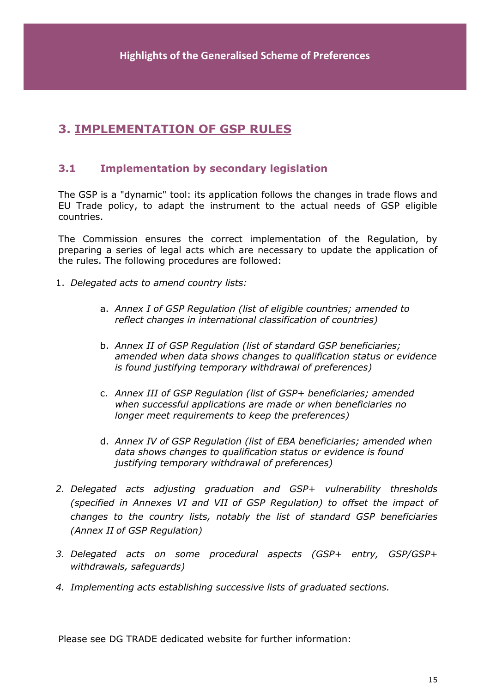# **3. IMPLEMENTATION OF GSP RULES**

# **3.1 Implementation by secondary legislation**

The GSP is a "dynamic" tool: its application follows the changes in trade flows and EU Trade policy, to adapt the instrument to the actual needs of GSP eligible countries.

The Commission ensures the correct implementation of the Regulation, by preparing a series of legal acts which are necessary to update the application of the rules. The following procedures are followed:

- 1. *Delegated acts to amend country lists:*
	- a. *Annex I of GSP Regulation (list of eligible countries; amended to reflect changes in international classification of countries)*
	- b. *Annex II of GSP Regulation (list of standard GSP beneficiaries; amended when data shows changes to qualification status or evidence is found justifying temporary withdrawal of preferences)*
	- c. *Annex III of GSP Regulation (list of GSP+ beneficiaries; amended when successful applications are made or when beneficiaries no longer meet requirements to keep the preferences)*
	- d. *Annex IV of GSP Regulation (list of EBA beneficiaries; amended when data shows changes to qualification status or evidence is found justifying temporary withdrawal of preferences)*
- *2. Delegated acts adjusting graduation and GSP+ vulnerability thresholds (specified in Annexes VI and VII of GSP Regulation) to offset the impact of changes to the country lists, notably the list of standard GSP beneficiaries (Annex II of GSP Regulation)*
- *3. Delegated acts on some procedural aspects (GSP+ entry, GSP/GSP+ withdrawals, safeguards)*
- *4. Implementing acts establishing successive lists of graduated sections.*

Please see DG TRADE dedicated website for further information: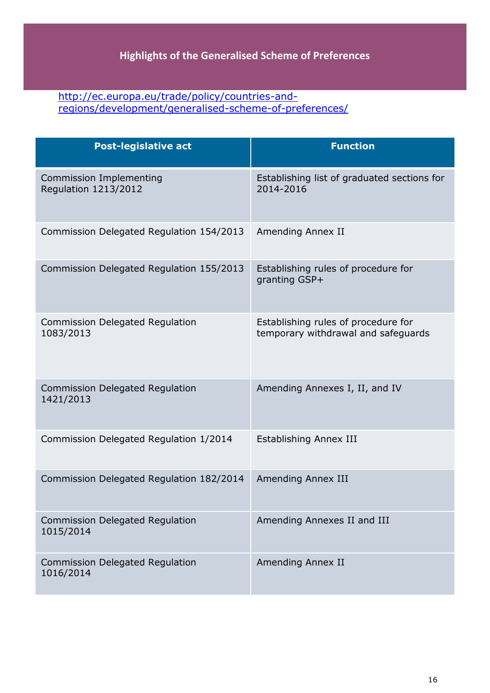## [http://ec.europa.eu/trade/policy/countries-and](http://ec.europa.eu/trade/policy/countries-and-regions/development/generalised-scheme-of-preferences/)[regions/development/generalised-scheme-of-preferences/](http://ec.europa.eu/trade/policy/countries-and-regions/development/generalised-scheme-of-preferences/)

| <b>Post-legislative act</b>                                   | <b>Function</b>                                                            |
|---------------------------------------------------------------|----------------------------------------------------------------------------|
| <b>Commission Implementing</b><br><b>Regulation 1213/2012</b> | Establishing list of graduated sections for<br>2014-2016                   |
| Commission Delegated Regulation 154/2013                      | Amending Annex II                                                          |
| Commission Delegated Regulation 155/2013                      | Establishing rules of procedure for<br>granting GSP+                       |
| <b>Commission Delegated Regulation</b><br>1083/2013           | Establishing rules of procedure for<br>temporary withdrawal and safeguards |
| <b>Commission Delegated Regulation</b><br>1421/2013           | Amending Annexes I, II, and IV                                             |
| Commission Delegated Regulation 1/2014                        | Establishing Annex III                                                     |
| Commission Delegated Regulation 182/2014                      | Amending Annex III                                                         |
| <b>Commission Delegated Regulation</b><br>1015/2014           | Amending Annexes II and III                                                |
| <b>Commission Delegated Regulation</b><br>1016/2014           | Amending Annex II                                                          |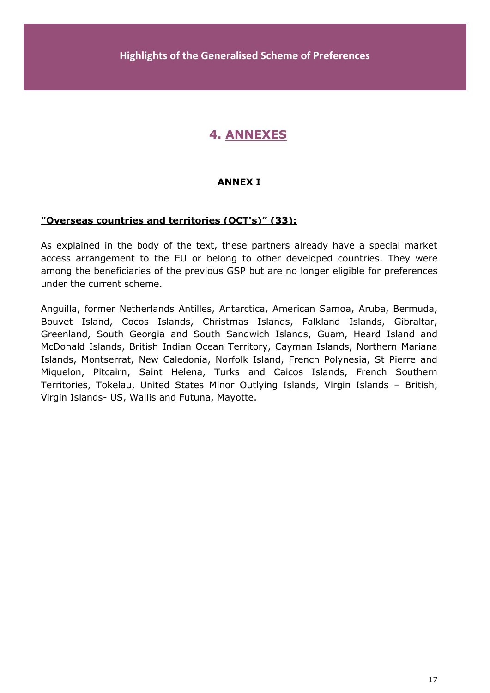# **4. ANNEXES**

### **ANNEX I**

#### **"Overseas countries and territories (OCT's)" (33):**

As explained in the body of the text, these partners already have a special market access arrangement to the EU or belong to other developed countries. They were among the beneficiaries of the previous GSP but are no longer eligible for preferences under the current scheme.

Anguilla, former Netherlands Antilles, Antarctica, American Samoa, Aruba, Bermuda, Bouvet Island, Cocos Islands, Christmas Islands, Falkland Islands, Gibraltar, Greenland, South Georgia and South Sandwich Islands, Guam, Heard Island and McDonald Islands, British Indian Ocean Territory, Cayman Islands, Northern Mariana Islands, Montserrat, New Caledonia, Norfolk Island, French Polynesia, St Pierre and Miquelon, Pitcairn, Saint Helena, Turks and Caicos Islands, French Southern Territories, Tokelau, United States Minor Outlying Islands, Virgin Islands – British, Virgin Islands- US, Wallis and Futuna, Mayotte.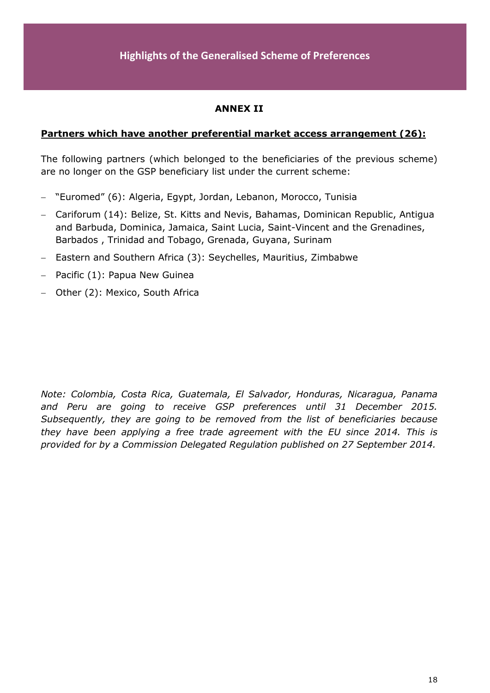# **ANNEX II**

#### **Partners which have another preferential market access arrangement (26):**

The following partners (which belonged to the beneficiaries of the previous scheme) are no longer on the GSP beneficiary list under the current scheme:

- "Euromed" (6): Algeria, Egypt, Jordan, Lebanon, Morocco, Tunisia
- Cariforum (14): Belize, St. Kitts and Nevis, Bahamas, Dominican Republic, Antigua and Barbuda, Dominica, Jamaica, Saint Lucia, Saint-Vincent and the Grenadines, Barbados , Trinidad and Tobago, Grenada, Guyana, Surinam
- Eastern and Southern Africa (3): Seychelles, Mauritius, Zimbabwe
- $-$  Pacific (1): Papua New Guinea
- Other (2): Mexico, South Africa

*Note: Colombia, Costa Rica, Guatemala, El Salvador, Honduras, Nicaragua, Panama and Peru are going to receive GSP preferences until 31 December 2015. Subsequently, they are going to be removed from the list of beneficiaries because they have been applying a free trade agreement with the EU since 2014. This is provided for by a Commission Delegated Regulation published on 27 September 2014.*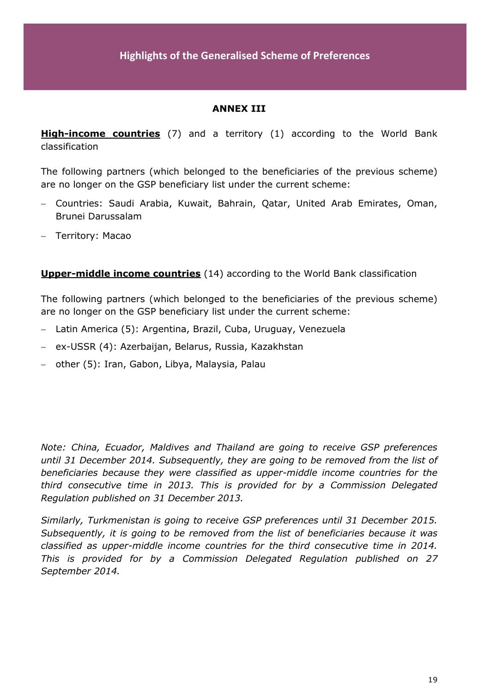# **ANNEX III**

**High-income countries** (7) and a territory (1) according to the World Bank classification

The following partners (which belonged to the beneficiaries of the previous scheme) are no longer on the GSP beneficiary list under the current scheme:

- Countries: Saudi Arabia, Kuwait, Bahrain, Qatar, United Arab Emirates, Oman, Brunei Darussalam
- Territory: Macao

**Upper-middle income countries** (14) according to the World Bank classification

The following partners (which belonged to the beneficiaries of the previous scheme) are no longer on the GSP beneficiary list under the current scheme:

- Latin America (5): Argentina, Brazil, Cuba, Uruguay, Venezuela
- ex-USSR (4): Azerbaijan, Belarus, Russia, Kazakhstan
- other (5): Iran, Gabon, Libya, Malaysia, Palau

*Note: China, Ecuador, Maldives and Thailand are going to receive GSP preferences until 31 December 2014. Subsequently, they are going to be removed from the list of beneficiaries because they were classified as upper-middle income countries for the third consecutive time in 2013. This is provided for by a Commission Delegated Regulation published on 31 December 2013.*

*Similarly, Turkmenistan is going to receive GSP preferences until 31 December 2015. Subsequently, it is going to be removed from the list of beneficiaries because it was classified as upper-middle income countries for the third consecutive time in 2014. This is provided for by a Commission Delegated Regulation published on 27 September 2014.*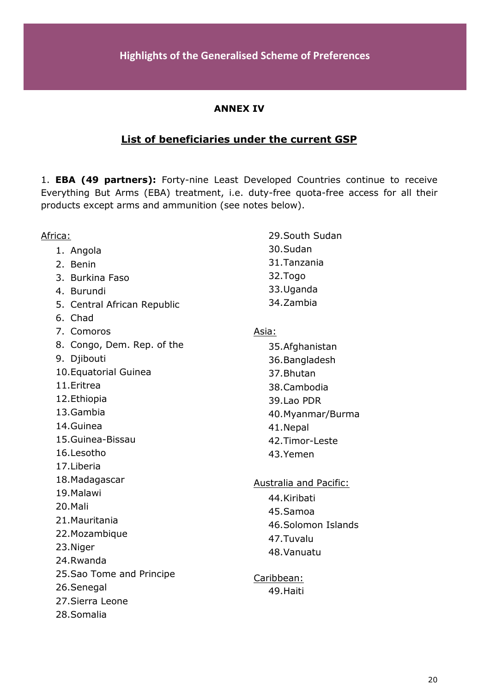# **ANNEX IV**

# **List of beneficiaries under the current GSP**

1. **EBA (49 partners):** Forty-nine Least Developed Countries continue to receive Everything But Arms (EBA) treatment, i.e. duty-free quota-free access for all their products except arms and ammunition (see notes below).

| Africa:                        | 29. South Sudan               |
|--------------------------------|-------------------------------|
| 1. Angola                      | 30.Sudan                      |
| 2. Benin                       | 31. Tanzania                  |
| 3. Burkina Faso                | 32.Togo                       |
| 4. Burundi                     | 33. Uganda                    |
| 5. Central African Republic    | 34.Zambia                     |
| 6. Chad                        |                               |
| 7. Comoros                     | Asia:                         |
| 8. Congo, Dem. Rep. of the     | 35. Afghanistan               |
| 9. Djibouti                    | 36. Bangladesh                |
| 10. Equatorial Guinea          | 37. Bhutan                    |
| 11. Eritrea                    | 38.Cambodia                   |
| 12. Ethiopia                   | 39.Lao PDR                    |
| 13.Gambia                      | 40. Myanmar/Burma             |
| 14. Guinea                     | 41.Nepal                      |
| 15. Guinea-Bissau              | 42. Timor-Leste               |
| 16.Lesotho                     | 43.Yemen                      |
| 17.Liberia                     |                               |
| 18. Madagascar                 | <b>Australia and Pacific:</b> |
| 19. Malawi                     | 44.Kiribati                   |
| 20.Mali                        | 45.Samoa                      |
| 21. Mauritania                 | 46.Solomon Islands            |
| 22. Mozambique                 | 47.Tuvalu                     |
| 23.Niger                       | 48. Vanuatu                   |
| 24.Rwanda                      |                               |
| 25. Sao Tome and Principe      | Caribbean:                    |
| 26.Senegal                     | 49. Haiti                     |
| 27. Sierra Leone<br>28.Somalia |                               |
|                                |                               |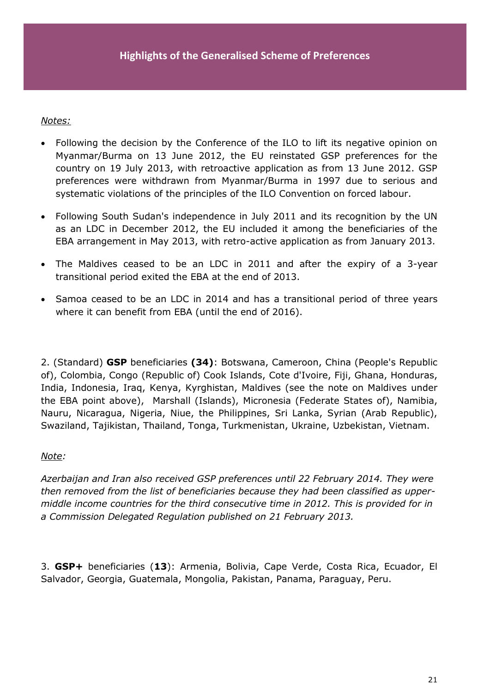#### *Notes:*

- Following the decision by the Conference of the ILO to lift its negative opinion on Myanmar/Burma on 13 June 2012, the EU reinstated GSP preferences for the country on 19 July 2013, with retroactive application as from 13 June 2012. GSP preferences were withdrawn from Myanmar/Burma in 1997 due to serious and systematic violations of the principles of the ILO Convention on forced labour.
- Following South Sudan's independence in July 2011 and its recognition by the UN as an LDC in December 2012, the EU included it among the beneficiaries of the EBA arrangement in May 2013, with retro-active application as from January 2013.
- The Maldives ceased to be an LDC in 2011 and after the expiry of a 3-year transitional period exited the EBA at the end of 2013.
- Samoa ceased to be an LDC in 2014 and has a transitional period of three years where it can benefit from EBA (until the end of 2016).

2. (Standard) **GSP** beneficiaries **(34)**: Botswana, Cameroon, China (People's Republic of), Colombia, Congo (Republic of) Cook Islands, Cote d'Ivoire, Fiji, Ghana, Honduras, India, Indonesia, Iraq, Kenya, Kyrghistan, Maldives (see the note on Maldives under the EBA point above), Marshall (Islands), Micronesia (Federate States of), Namibia, Nauru, Nicaragua, Nigeria, Niue, the Philippines, Sri Lanka, Syrian (Arab Republic), Swaziland, Tajikistan, Thailand, Tonga, Turkmenistan, Ukraine, Uzbekistan, Vietnam.

#### *Note:*

*Azerbaijan and Iran also received GSP preferences until 22 February 2014. They were then removed from the list of beneficiaries because they had been classified as uppermiddle income countries for the third consecutive time in 2012. This is provided for in a Commission Delegated Regulation published on 21 February 2013.* 

3. **GSP+** beneficiaries (**13**): Armenia, Bolivia, Cape Verde, Costa Rica, Ecuador, El Salvador, Georgia, Guatemala, Mongolia, Pakistan, Panama, Paraguay, Peru.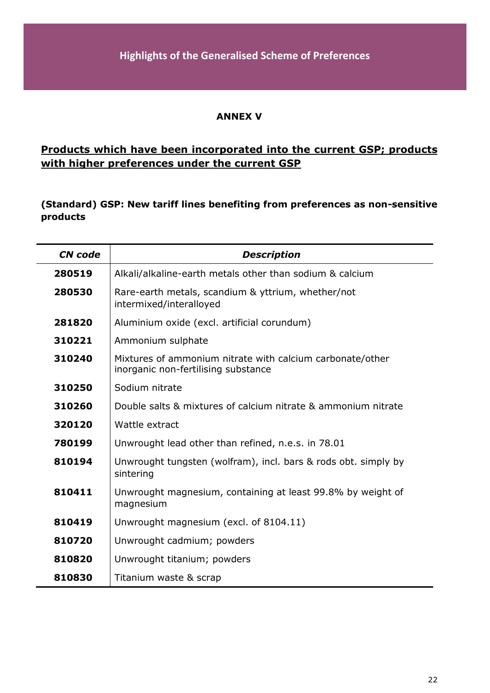#### **ANNEX V**

# **Products which have been incorporated into the current GSP; products with higher preferences under the current GSP**

**(Standard) GSP: New tariff lines benefiting from preferences as non-sensitive products**

| <b>CN</b> code | <b>Description</b>                                                                               |
|----------------|--------------------------------------------------------------------------------------------------|
| 280519         | Alkali/alkaline-earth metals other than sodium & calcium                                         |
| 280530         | Rare-earth metals, scandium & yttrium, whether/not<br>intermixed/interalloyed                    |
| 281820         | Aluminium oxide (excl. artificial corundum)                                                      |
| 310221         | Ammonium sulphate                                                                                |
| 310240         | Mixtures of ammonium nitrate with calcium carbonate/other<br>inorganic non-fertilising substance |
| 310250         | Sodium nitrate                                                                                   |
| 310260         | Double salts & mixtures of calcium nitrate & ammonium nitrate                                    |
| 320120         | Wattle extract                                                                                   |
| 780199         | Unwrought lead other than refined, n.e.s. in 78.01                                               |
| 810194         | Unwrought tungsten (wolfram), incl. bars & rods obt. simply by<br>sintering                      |
| 810411         | Unwrought magnesium, containing at least 99.8% by weight of<br>magnesium                         |
| 810419         | Unwrought magnesium (excl. of 8104.11)                                                           |
| 810720         | Unwrought cadmium; powders                                                                       |
| 810820         | Unwrought titanium; powders                                                                      |
| 810830         | Titanium waste & scrap                                                                           |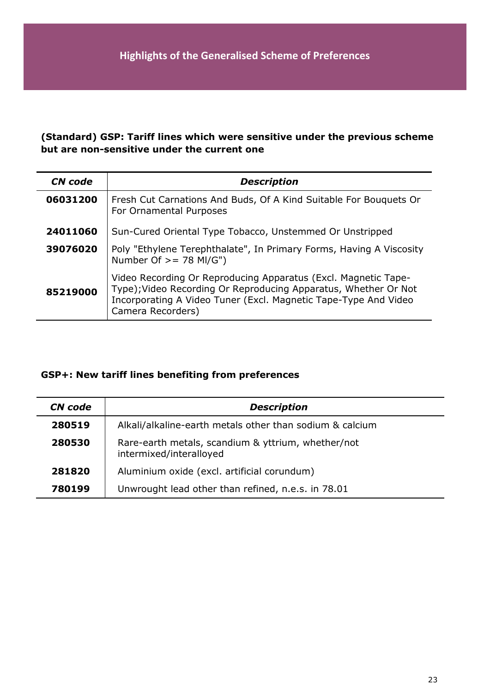# **(Standard) GSP: Tariff lines which were sensitive under the previous scheme but are non-sensitive under the current one**

| <b>CN</b> code | <b>Description</b>                                                                                                                                                                                                        |
|----------------|---------------------------------------------------------------------------------------------------------------------------------------------------------------------------------------------------------------------------|
| 06031200       | Fresh Cut Carnations And Buds, Of A Kind Suitable For Bouquets Or<br>For Ornamental Purposes                                                                                                                              |
| 24011060       | Sun-Cured Oriental Type Tobacco, Unstemmed Or Unstripped                                                                                                                                                                  |
| 39076020       | Poly "Ethylene Terephthalate", In Primary Forms, Having A Viscosity<br>Number Of $\ge$ = 78 MI/G")                                                                                                                        |
| 85219000       | Video Recording Or Reproducing Apparatus (Excl. Magnetic Tape-<br>Type); Video Recording Or Reproducing Apparatus, Whether Or Not<br>Incorporating A Video Tuner (Excl. Magnetic Tape-Type And Video<br>Camera Recorders) |

# **GSP+: New tariff lines benefiting from preferences**

| CN code | <b>Description</b>                                                            |
|---------|-------------------------------------------------------------------------------|
| 280519  | Alkali/alkaline-earth metals other than sodium & calcium                      |
| 280530  | Rare-earth metals, scandium & yttrium, whether/not<br>intermixed/interalloyed |
| 281820  | Aluminium oxide (excl. artificial corundum)                                   |
| 780199  | Unwrought lead other than refined, n.e.s. in 78.01                            |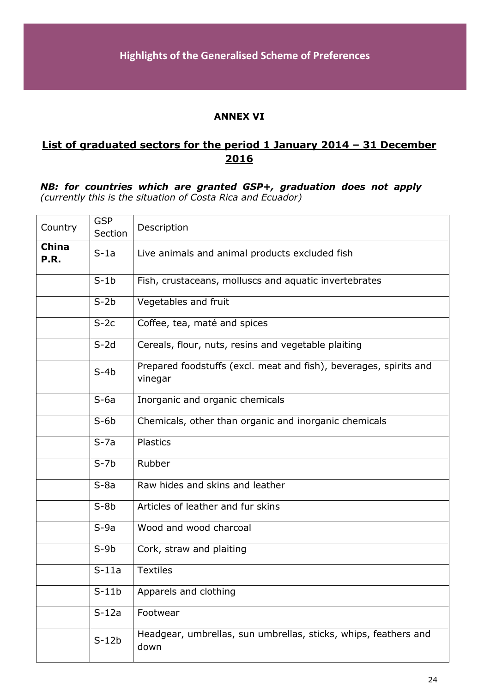#### **ANNEX VI**

# **List of graduated sectors for the period 1 January 2014 – 31 December 2016**

#### *NB: for countries which are granted GSP+, graduation does not apply (currently this is the situation of Costa Rica and Ecuador)*

| Country              | <b>GSP</b><br>Section | Description                                                                  |
|----------------------|-----------------------|------------------------------------------------------------------------------|
| <b>China</b><br>P.R. | $S-1a$                | Live animals and animal products excluded fish                               |
|                      | $S-1b$                | Fish, crustaceans, molluscs and aquatic invertebrates                        |
|                      | $S-2b$                | Vegetables and fruit                                                         |
|                      | $S-2c$                | Coffee, tea, maté and spices                                                 |
|                      | $S-2d$                | Cereals, flour, nuts, resins and vegetable plaiting                          |
|                      | $S-4b$                | Prepared foodstuffs (excl. meat and fish), beverages, spirits and<br>vinegar |
|                      | $S-6a$                | Inorganic and organic chemicals                                              |
|                      | $S-6b$                | Chemicals, other than organic and inorganic chemicals                        |
|                      | $S-7a$                | <b>Plastics</b>                                                              |
|                      | $S-7b$                | Rubber                                                                       |
|                      | $S-8a$                | Raw hides and skins and leather                                              |
|                      | $S-8b$                | Articles of leather and fur skins                                            |
|                      | $S-9a$                | Wood and wood charcoal                                                       |
|                      | $S-9b$                | Cork, straw and plaiting                                                     |
|                      | $S-11a$               | <b>Textiles</b>                                                              |
|                      | $S-11b$               | Apparels and clothing                                                        |
|                      | $S-12a$               | Footwear                                                                     |
|                      | $S-12b$               | Headgear, umbrellas, sun umbrellas, sticks, whips, feathers and<br>down      |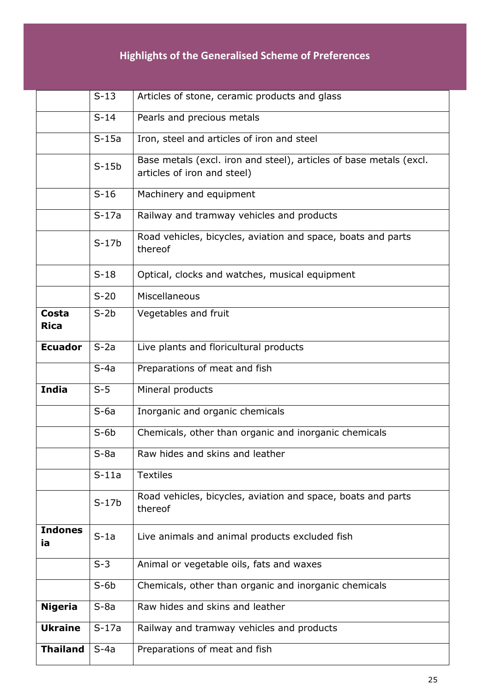# **Highlights of the Generalised Scheme of Preferences**

|                      | $S-13$  | Articles of stone, ceramic products and glass                                                     |
|----------------------|---------|---------------------------------------------------------------------------------------------------|
|                      | $S-14$  | Pearls and precious metals                                                                        |
|                      | $S-15a$ | Iron, steel and articles of iron and steel                                                        |
|                      | $S-15b$ | Base metals (excl. iron and steel), articles of base metals (excl.<br>articles of iron and steel) |
|                      | $S-16$  | Machinery and equipment                                                                           |
|                      | $S-17a$ | Railway and tramway vehicles and products                                                         |
|                      | $S-17b$ | Road vehicles, bicycles, aviation and space, boats and parts<br>thereof                           |
|                      | $S-18$  | Optical, clocks and watches, musical equipment                                                    |
|                      | $S-20$  | Miscellaneous                                                                                     |
| Costa<br><b>Rica</b> | $S-2b$  | Vegetables and fruit                                                                              |
| <b>Ecuador</b>       | $S-2a$  | Live plants and floricultural products                                                            |
|                      | $S-4a$  | Preparations of meat and fish                                                                     |
| <b>India</b>         | $S-5$   | Mineral products                                                                                  |
|                      | $S-6a$  | Inorganic and organic chemicals                                                                   |
|                      | $S-6b$  | Chemicals, other than organic and inorganic chemicals                                             |
|                      | $S-8a$  | Raw hides and skins and leather                                                                   |
|                      | $S-11a$ | <b>Textiles</b>                                                                                   |
|                      | $S-17b$ | Road vehicles, bicycles, aviation and space, boats and parts<br>thereof                           |
| <b>Indones</b><br>ia | $S-1a$  | Live animals and animal products excluded fish                                                    |
|                      | $S-3$   | Animal or vegetable oils, fats and waxes                                                          |
|                      | $S-6b$  | Chemicals, other than organic and inorganic chemicals                                             |
| <b>Nigeria</b>       | $S-8a$  | Raw hides and skins and leather                                                                   |
| <b>Ukraine</b>       | $S-17a$ | Railway and tramway vehicles and products                                                         |
| <b>Thailand</b>      | $S-4a$  | Preparations of meat and fish                                                                     |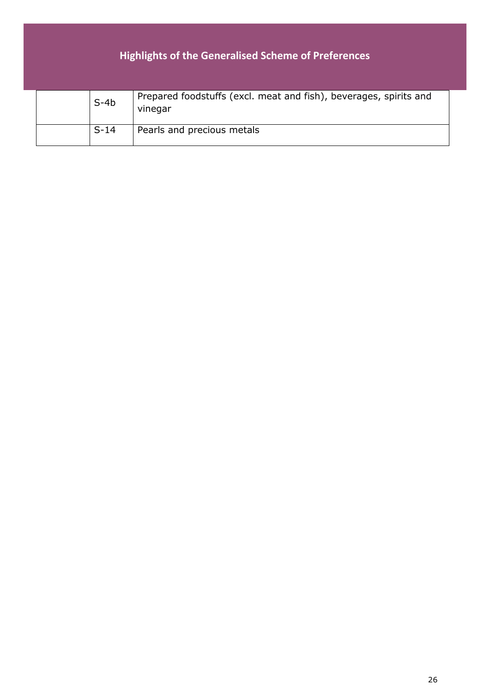# **Highlights of the Generalised Scheme of Preferences**

| $S-4b$ | Prepared foodstuffs (excl. meat and fish), beverages, spirits and<br>vinegar |
|--------|------------------------------------------------------------------------------|
| $S-14$ | Pearls and precious metals                                                   |